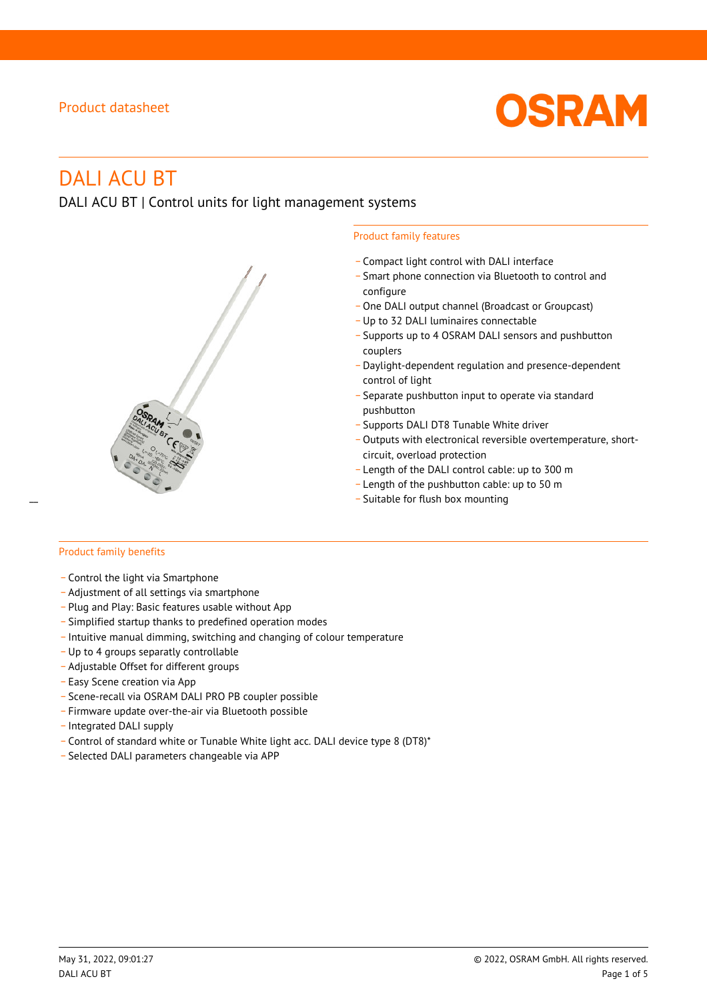

# DALI ACU BT

DALI ACU BT | Control units for light management systems



#### Product family features

- \_ Compact light control with DALI interface
- \_ Smart phone connection via Bluetooth to control and configure
- One DALI output channel (Broadcast or Groupcast)
- \_ Up to 32 DALI luminaires connectable
- \_ Supports up to 4 OSRAM DALI sensors and pushbutton couplers
- \_ Daylight-dependent regulation and presence-dependent control of light
- \_ Separate pushbutton input to operate via standard pushbutton
- .<br>– Supports DALI DT8 Tunable White driver
- Outputs with electronical reversible overtemperature, shortcircuit, overload protection
- \_ Length of the DALI control cable: up to 300 m
- \_ Length of the pushbutton cable: up to 50 m
- Suitable for flush box mounting

#### Product family benefits

- \_ Control the light via Smartphone
- \_ Adjustment of all settings via smartphone
- \_ Plug and Play: Basic features usable without App
- \_ Simplified startup thanks to predefined operation modes
- \_ Intuitive manual dimming, switching and changing of colour temperature
- \_ Up to 4 groups separatly controllable
- \_ Adjustable Offset for different groups
- \_ Easy Scene creation via App
- \_ Scene-recall via OSRAM DALI PRO PB coupler possible
- \_ Firmware update over-the-air via Bluetooth possible
- \_ Integrated DALI supply
- \_ Control of standard white or Tunable White light acc. DALI device type 8 (DT8)\*
- \_ Selected DALI parameters changeable via APP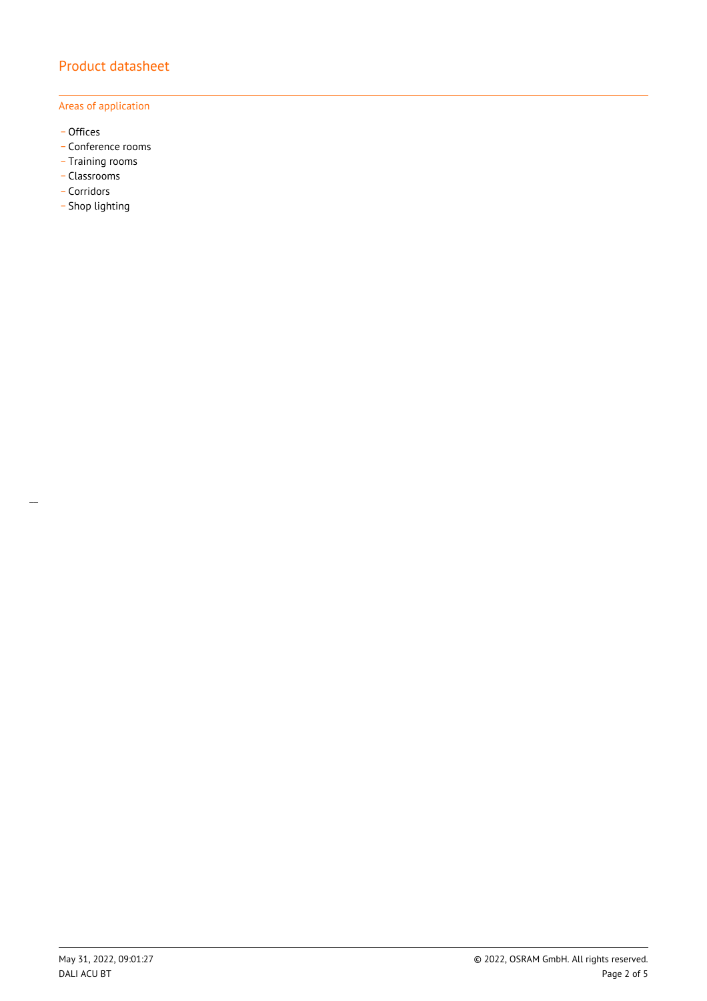#### Areas of application

- \_ Offices
- Conference rooms
- Training rooms
- \_ Classrooms
- \_ Corridors
- Shop lighting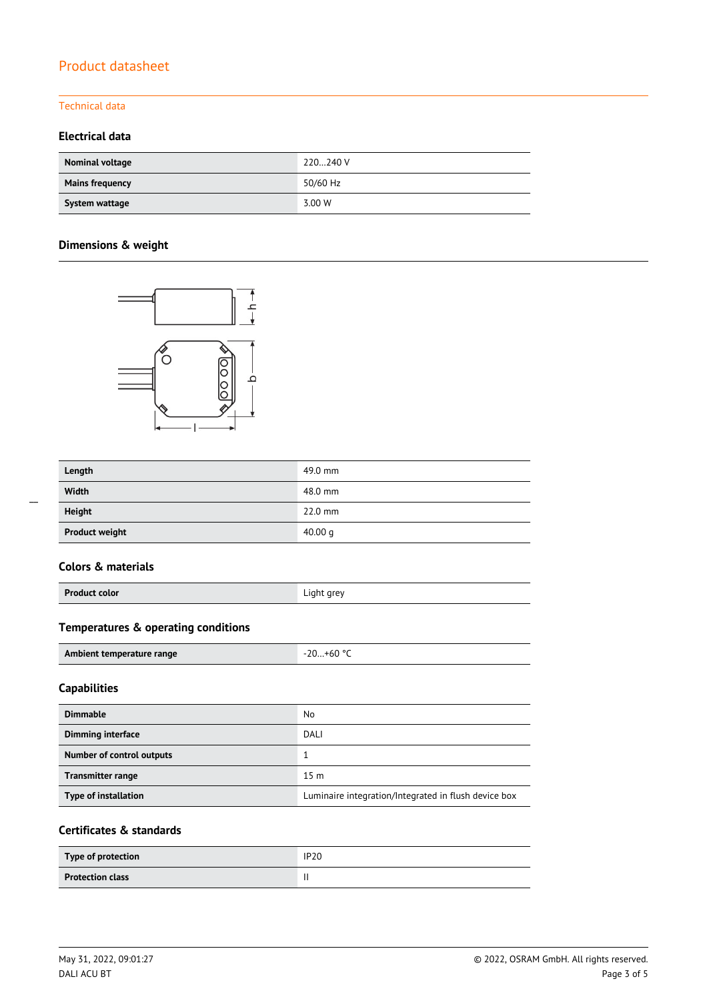### Technical data

# **Electrical data**

| Nominal voltage        | 220240 V |
|------------------------|----------|
| <b>Mains frequency</b> | 50/60 Hz |
| System wattage         | 3.00 W   |

# **Dimensions & weight**



| Length                | 49.0 mm   |
|-----------------------|-----------|
| Width                 | 48.0 mm   |
| <b>Height</b>         | $22.0$ mm |
| <b>Product weight</b> | 40.00 $q$ |

# **Colors & materials**

| <b>Product color</b> | Light grey |
|----------------------|------------|
|                      |            |

# **Temperatures & operating conditions**

| Ambient temperature range | $0.01+60$ |
|---------------------------|-----------|

# **Capabilities**

| <b>Dimmable</b>                  | No                                                   |
|----------------------------------|------------------------------------------------------|
| <b>Dimming interface</b>         | <b>DALI</b>                                          |
| <b>Number of control outputs</b> |                                                      |
| <b>Transmitter range</b>         | 15 <sub>m</sub>                                      |
| Type of installation             | Luminaire integration/Integrated in flush device box |

### **Certificates & standards**

| Type of protection      | <b>IP20</b> |
|-------------------------|-------------|
| <b>Protection class</b> |             |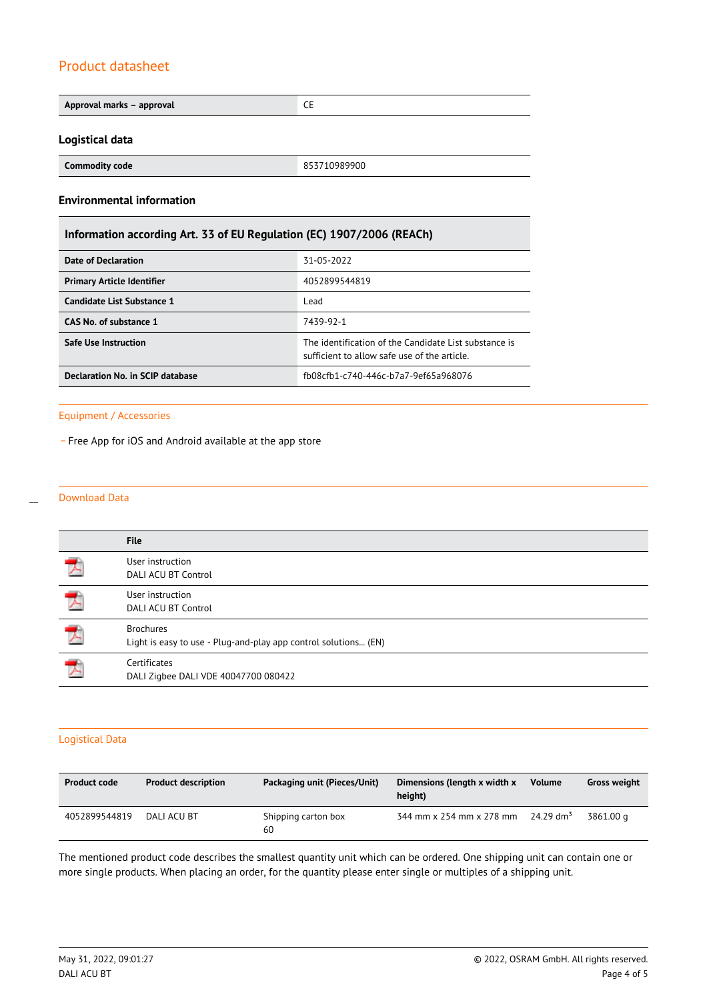| Approval marks - approval                                             | <b>CE</b>                                                                                             |  |  |  |
|-----------------------------------------------------------------------|-------------------------------------------------------------------------------------------------------|--|--|--|
|                                                                       |                                                                                                       |  |  |  |
| Logistical data                                                       |                                                                                                       |  |  |  |
| <b>Commodity code</b>                                                 | 853710989900                                                                                          |  |  |  |
| <b>Environmental information</b>                                      |                                                                                                       |  |  |  |
| Information according Art. 33 of EU Regulation (EC) 1907/2006 (REACh) |                                                                                                       |  |  |  |
| <b>Date of Declaration</b><br>31-05-2022                              |                                                                                                       |  |  |  |
| <b>Primary Article Identifier</b>                                     | 4052899544819                                                                                         |  |  |  |
| <b>Candidate List Substance 1</b>                                     | Lead                                                                                                  |  |  |  |
| CAS No. of substance 1<br>7439-92-1                                   |                                                                                                       |  |  |  |
| Safe Use Instruction                                                  | The identification of the Candidate List substance is<br>sufficient to allow safe use of the article. |  |  |  |
| Declaration No. in SCIP database                                      | fb08cfb1-c740-446c-b7a7-9ef65a968076                                                                  |  |  |  |

#### Equipment / Accessories

- Free App for iOS and Android available at the app store

#### Download Data

 $\overline{a}$ 

|                          | <b>File</b>                                                                         |
|--------------------------|-------------------------------------------------------------------------------------|
|                          | User instruction<br>DALI ACU BT Control                                             |
| 人                        | User instruction<br>DALI ACU BT Control                                             |
| $\overline{\phantom{a}}$ | <b>Brochures</b><br>Light is easy to use - Plug-and-play app control solutions (EN) |
| $\overline{\phantom{a}}$ | Certificates<br>DALI Zigbee DALI VDE 40047700 080422                                |

### Logistical Data

| <b>Product code</b> | <b>Product description</b> | Packaging unit (Pieces/Unit) | Dimensions (length x width x<br>height) | <b>Volume</b>         | <b>Gross weight</b> |
|---------------------|----------------------------|------------------------------|-----------------------------------------|-----------------------|---------------------|
| 4052899544819       | DALI ACU BT                | Shipping carton box<br>60    | 344 mm x 254 mm x 278 mm                | 24.29 dm <sup>3</sup> | 3861.00 a           |

The mentioned product code describes the smallest quantity unit which can be ordered. One shipping unit can contain one or more single products. When placing an order, for the quantity please enter single or multiples of a shipping unit.